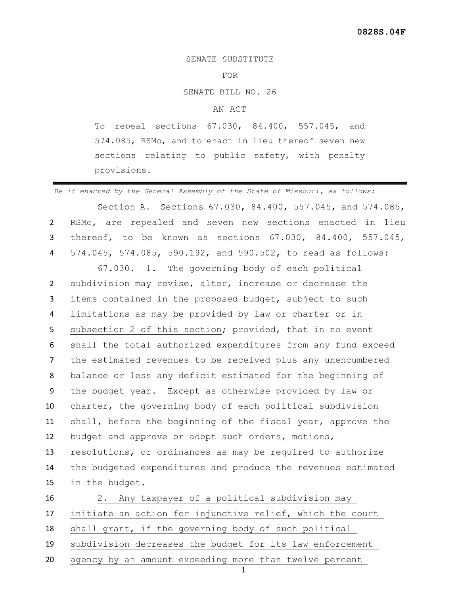## SENATE SUBSTITUTE

## FOR

SENATE BILL NO. 26

## AN ACT

To repeal sections 67.030, 84.400, 557.045, and 574.085, RSMo, and to enact in lieu thereof seven new sections relating to public safety, with penalty provisions.

*Be it enacted by the General Assembly of the State of Missouri, as follows:* Section A. Sections 67.030, 84.400, 557.045, and 574.085, RSMo, are repealed and seven new sections enacted in lieu thereof, to be known as sections 67.030, 84.400, 557.045, 574.045, 574.085, 590.192, and 590.502, to read as follows: 67.030. 1. The governing body of each political subdivision may revise, alter, increase or decrease the items contained in the proposed budget, subject to such limitations as may be provided by law or charter or in subsection 2 of this section; provided, that in no event shall the total authorized expenditures from any fund exceed the estimated revenues to be received plus any unencumbered balance or less any deficit estimated for the beginning of the budget year. Except as otherwise provided by law or charter, the governing body of each political subdivision shall, before the beginning of the fiscal year, approve the budget and approve or adopt such orders, motions, resolutions, or ordinances as may be required to authorize the budgeted expenditures and produce the revenues estimated in the budget. 2. Any taxpayer of a political subdivision may

 initiate an action for injunctive relief, which the court shall grant, if the governing body of such political subdivision decreases the budget for its law enforcement agency by an amount exceeding more than twelve percent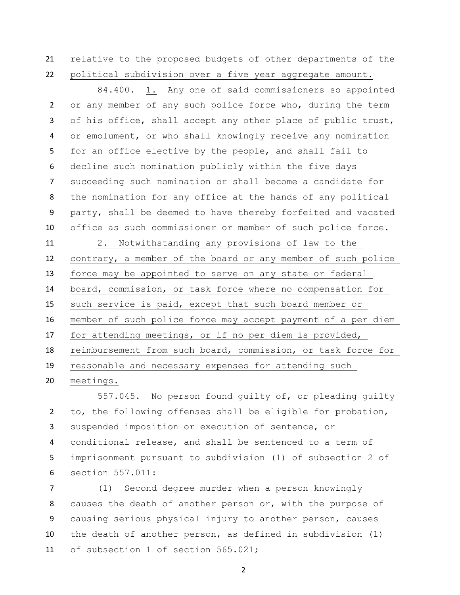## relative to the proposed budgets of other departments of the

political subdivision over a five year aggregate amount.

84.400. 1. Any one of said commissioners so appointed or any member of any such police force who, during the term 3 of his office, shall accept any other place of public trust, or emolument, or who shall knowingly receive any nomination for an office elective by the people, and shall fail to decline such nomination publicly within the five days succeeding such nomination or shall become a candidate for the nomination for any office at the hands of any political party, shall be deemed to have thereby forfeited and vacated office as such commissioner or member of such police force.

 2. Notwithstanding any provisions of law to the contrary, a member of the board or any member of such police force may be appointed to serve on any state or federal board, commission, or task force where no compensation for such service is paid, except that such board member or member of such police force may accept payment of a per diem for attending meetings, or if no per diem is provided, reimbursement from such board, commission, or task force for reasonable and necessary expenses for attending such meetings.

557.045. No person found quilty of, or pleading quilty to, the following offenses shall be eligible for probation, suspended imposition or execution of sentence, or conditional release, and shall be sentenced to a term of imprisonment pursuant to subdivision (1) of subsection 2 of section 557.011:

 (1) Second degree murder when a person knowingly causes the death of another person or, with the purpose of causing serious physical injury to another person, causes the death of another person, as defined in subdivision (1) of subsection 1 of section 565.021;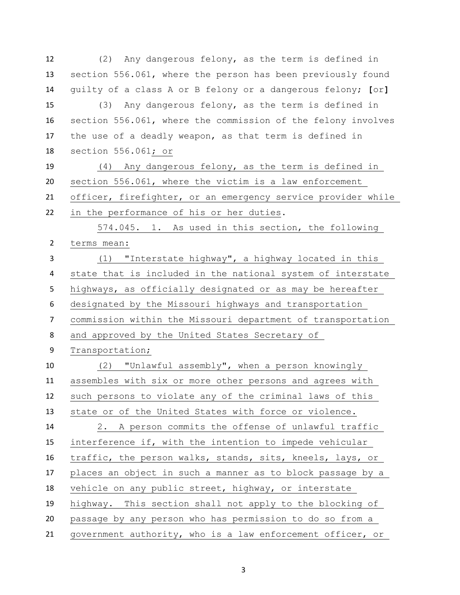(2) Any dangerous felony, as the term is defined in section 556.061, where the person has been previously found guilty of a class A or B felony or a dangerous felony; **[**or**]** (3) Any dangerous felony, as the term is defined in section 556.061, where the commission of the felony involves the use of a deadly weapon, as that term is defined in section 556.061; or (4) Any dangerous felony, as the term is defined in section 556.061, where the victim is a law enforcement officer, firefighter, or an emergency service provider while in the performance of his or her duties. 574.045. 1. As used in this section, the following terms mean: (1) "Interstate highway", a highway located in this state that is included in the national system of interstate highways, as officially designated or as may be hereafter designated by the Missouri highways and transportation commission within the Missouri department of transportation and approved by the United States Secretary of Transportation; (2) "Unlawful assembly", when a person knowingly assembles with six or more other persons and agrees with such persons to violate any of the criminal laws of this state or of the United States with force or violence. 2. A person commits the offense of unlawful traffic interference if, with the intention to impede vehicular traffic, the person walks, stands, sits, kneels, lays, or places an object in such a manner as to block passage by a vehicle on any public street, highway, or interstate highway. This section shall not apply to the blocking of passage by any person who has permission to do so from a government authority, who is a law enforcement officer, or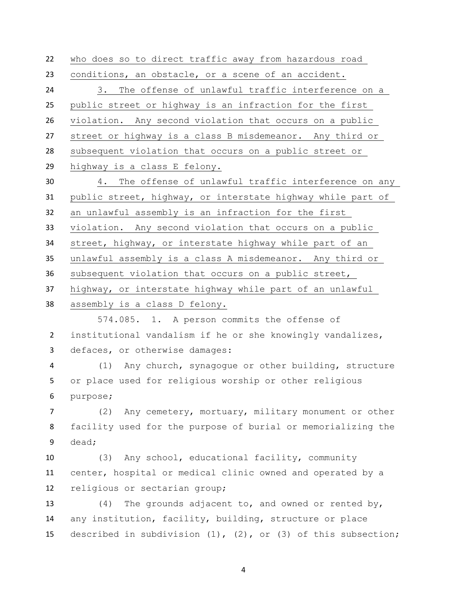who does so to direct traffic away from hazardous road conditions, an obstacle, or a scene of an accident. 3. The offense of unlawful traffic interference on a public street or highway is an infraction for the first violation. Any second violation that occurs on a public street or highway is a class B misdemeanor. Any third or subsequent violation that occurs on a public street or highway is a class E felony. 4. The offense of unlawful traffic interference on any public street, highway, or interstate highway while part of an unlawful assembly is an infraction for the first violation. Any second violation that occurs on a public street, highway, or interstate highway while part of an unlawful assembly is a class A misdemeanor. Any third or subsequent violation that occurs on a public street, highway, or interstate highway while part of an unlawful assembly is a class D felony. 574.085. 1. A person commits the offense of institutional vandalism if he or she knowingly vandalizes, defaces, or otherwise damages: (1) Any church, synagogue or other building, structure or place used for religious worship or other religious purpose; (2) Any cemetery, mortuary, military monument or other facility used for the purpose of burial or memorializing the dead; (3) Any school, educational facility, community center, hospital or medical clinic owned and operated by a religious or sectarian group; (4) The grounds adjacent to, and owned or rented by, any institution, facility, building, structure or place described in subdivision (1), (2), or (3) of this subsection;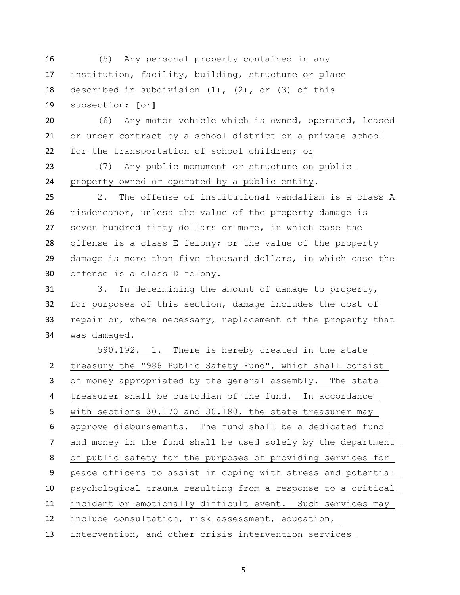(5) Any personal property contained in any institution, facility, building, structure or place described in subdivision (1), (2), or (3) of this subsection; **[**or**]**

 (6) Any motor vehicle which is owned, operated, leased or under contract by a school district or a private school for the transportation of school children; or

 (7) Any public monument or structure on public property owned or operated by a public entity.

 2. The offense of institutional vandalism is a class A misdemeanor, unless the value of the property damage is seven hundred fifty dollars or more, in which case the offense is a class E felony; or the value of the property damage is more than five thousand dollars, in which case the offense is a class D felony.

 3. In determining the amount of damage to property, for purposes of this section, damage includes the cost of 33 repair or, where necessary, replacement of the property that was damaged.

590.192. 1. There is hereby created in the state treasury the "988 Public Safety Fund", which shall consist of money appropriated by the general assembly. The state treasurer shall be custodian of the fund. In accordance with sections 30.170 and 30.180, the state treasurer may approve disbursements. The fund shall be a dedicated fund and money in the fund shall be used solely by the department of public safety for the purposes of providing services for peace officers to assist in coping with stress and potential psychological trauma resulting from a response to a critical incident or emotionally difficult event. Such services may include consultation, risk assessment, education, intervention, and other crisis intervention services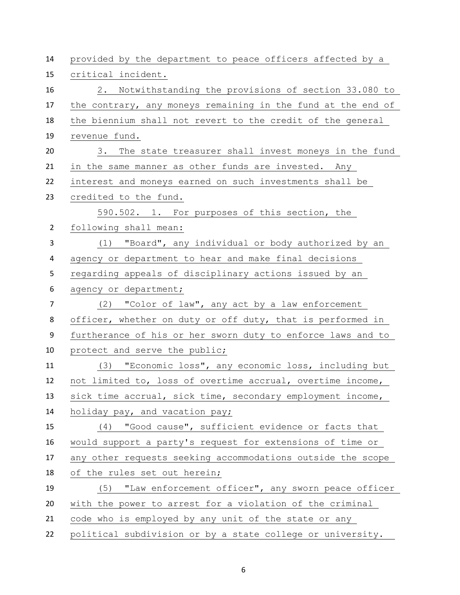| 14             | provided by the department to peace officers affected by a   |
|----------------|--------------------------------------------------------------|
| 15             | critical incident.                                           |
| 16             | 2. Notwithstanding the provisions of section 33.080 to       |
| 17             | the contrary, any moneys remaining in the fund at the end of |
| 18             | the biennium shall not revert to the credit of the general   |
| 19             | revenue fund.                                                |
| 20             | 3. The state treasurer shall invest moneys in the fund       |
| 21             | in the same manner as other funds are invested. Any          |
| 22             | interest and moneys earned on such investments shall be      |
| 23             | credited to the fund.                                        |
|                | 590.502. 1. For purposes of this section, the                |
| $\overline{2}$ | following shall mean:                                        |
| 3              | (1) "Board", any individual or body authorized by an         |
| 4              | agency or department to hear and make final decisions        |
| 5              | regarding appeals of disciplinary actions issued by an       |
| 6              | agency or department;                                        |
| $\overline{7}$ | (2) "Color of law", any act by a law enforcement             |
| 8              | officer, whether on duty or off duty, that is performed in   |
| 9              | furtherance of his or her sworn duty to enforce laws and to  |
| 10             | protect and serve the public;                                |
| 11             | (3) "Economic loss", any economic loss, including but        |
| 12             | not limited to, loss of overtime accrual, overtime income,   |
| 13             | sick time accrual, sick time, secondary employment income,   |
| 14             | holiday pay, and vacation pay;                               |
| 15             | (4) "Good cause", sufficient evidence or facts that          |
| 16             | would support a party's request for extensions of time or    |
| 17             | any other requests seeking accommodations outside the scope  |
| 18             | of the rules set out herein;                                 |
| 19             | (5) "Law enforcement officer", any sworn peace officer       |
| 20             | with the power to arrest for a violation of the criminal     |
| 21             | code who is employed by any unit of the state or any         |
| 22             | political subdivision or by a state college or university.   |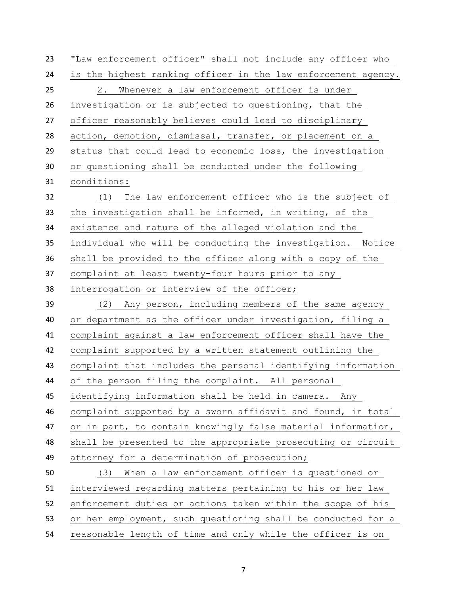"Law enforcement officer" shall not include any officer who is the highest ranking officer in the law enforcement agency. 2. Whenever a law enforcement officer is under investigation or is subjected to questioning, that the officer reasonably believes could lead to disciplinary action, demotion, dismissal, transfer, or placement on a status that could lead to economic loss, the investigation or questioning shall be conducted under the following conditions: (1) The law enforcement officer who is the subject of the investigation shall be informed, in writing, of the existence and nature of the alleged violation and the individual who will be conducting the investigation. Notice shall be provided to the officer along with a copy of the complaint at least twenty-four hours prior to any interrogation or interview of the officer; (2) Any person, including members of the same agency or department as the officer under investigation, filing a complaint against a law enforcement officer shall have the complaint supported by a written statement outlining the complaint that includes the personal identifying information of the person filing the complaint. All personal identifying information shall be held in camera. Any complaint supported by a sworn affidavit and found, in total or in part, to contain knowingly false material information, shall be presented to the appropriate prosecuting or circuit attorney for a determination of prosecution; (3) When a law enforcement officer is questioned or interviewed regarding matters pertaining to his or her law enforcement duties or actions taken within the scope of his or her employment, such questioning shall be conducted for a reasonable length of time and only while the officer is on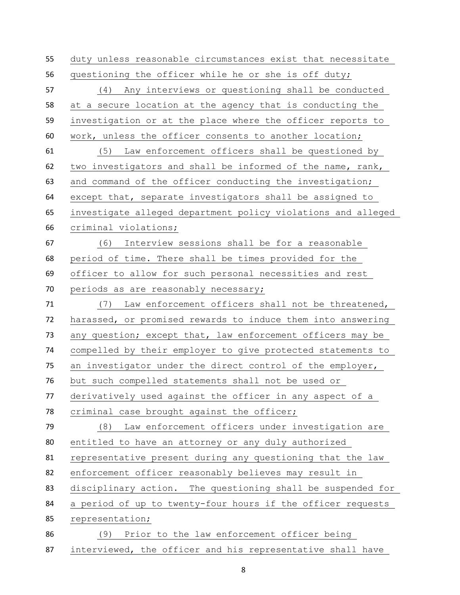duty unless reasonable circumstances exist that necessitate questioning the officer while he or she is off duty; (4) Any interviews or questioning shall be conducted at a secure location at the agency that is conducting the investigation or at the place where the officer reports to work, unless the officer consents to another location; (5) Law enforcement officers shall be questioned by two investigators and shall be informed of the name, rank, 63 and command of the officer conducting the investigation; except that, separate investigators shall be assigned to investigate alleged department policy violations and alleged criminal violations; (6) Interview sessions shall be for a reasonable period of time. There shall be times provided for the officer to allow for such personal necessities and rest 70 periods as are reasonably necessary; (7) Law enforcement officers shall not be threatened, harassed, or promised rewards to induce them into answering any question; except that, law enforcement officers may be compelled by their employer to give protected statements to an investigator under the direct control of the employer, but such compelled statements shall not be used or derivatively used against the officer in any aspect of a 78 criminal case brought against the officer; (8) Law enforcement officers under investigation are entitled to have an attorney or any duly authorized representative present during any questioning that the law enforcement officer reasonably believes may result in disciplinary action. The questioning shall be suspended for a period of up to twenty-four hours if the officer requests representation; (9) Prior to the law enforcement officer being interviewed, the officer and his representative shall have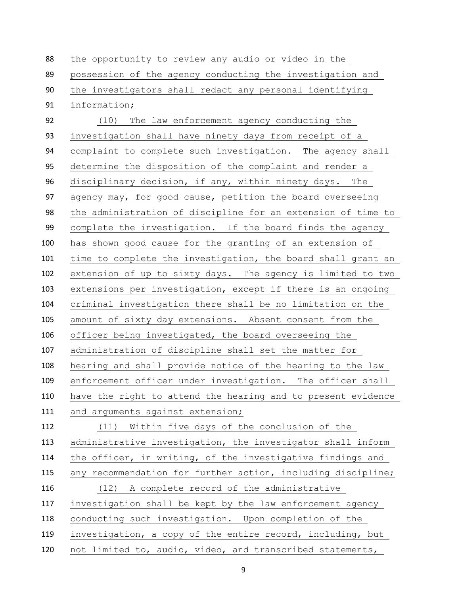the opportunity to review any audio or video in the possession of the agency conducting the investigation and the investigators shall redact any personal identifying information; (10) The law enforcement agency conducting the investigation shall have ninety days from receipt of a complaint to complete such investigation. The agency shall determine the disposition of the complaint and render a disciplinary decision, if any, within ninety days. The agency may, for good cause, petition the board overseeing the administration of discipline for an extension of time to complete the investigation. If the board finds the agency has shown good cause for the granting of an extension of time to complete the investigation, the board shall grant an extension of up to sixty days. The agency is limited to two extensions per investigation, except if there is an ongoing criminal investigation there shall be no limitation on the amount of sixty day extensions. Absent consent from the officer being investigated, the board overseeing the administration of discipline shall set the matter for hearing and shall provide notice of the hearing to the law enforcement officer under investigation. The officer shall have the right to attend the hearing and to present evidence 111 and arguments against extension; (11) Within five days of the conclusion of the administrative investigation, the investigator shall inform the officer, in writing, of the investigative findings and any recommendation for further action, including discipline; (12) A complete record of the administrative investigation shall be kept by the law enforcement agency conducting such investigation. Upon completion of the investigation, a copy of the entire record, including, but not limited to, audio, video, and transcribed statements,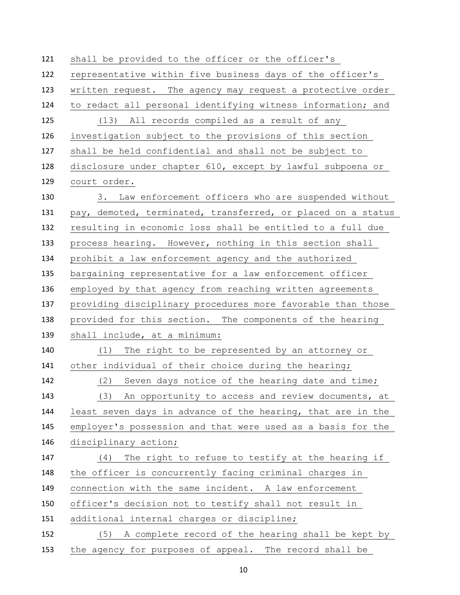shall be provided to the officer or the officer's representative within five business days of the officer's written request. The agency may request a protective order to redact all personal identifying witness information; and (13) All records compiled as a result of any investigation subject to the provisions of this section shall be held confidential and shall not be subject to disclosure under chapter 610, except by lawful subpoena or court order. 3. Law enforcement officers who are suspended without pay, demoted, terminated, transferred, or placed on a status resulting in economic loss shall be entitled to a full due process hearing. However, nothing in this section shall prohibit a law enforcement agency and the authorized bargaining representative for a law enforcement officer employed by that agency from reaching written agreements providing disciplinary procedures more favorable than those provided for this section. The components of the hearing shall include, at a minimum: (1) The right to be represented by an attorney or other individual of their choice during the hearing; (2) Seven days notice of the hearing date and time; (3) An opportunity to access and review documents, at least seven days in advance of the hearing, that are in the employer's possession and that were used as a basis for the disciplinary action; (4) The right to refuse to testify at the hearing if the officer is concurrently facing criminal charges in connection with the same incident. A law enforcement officer's decision not to testify shall not result in additional internal charges or discipline; (5) A complete record of the hearing shall be kept by the agency for purposes of appeal. The record shall be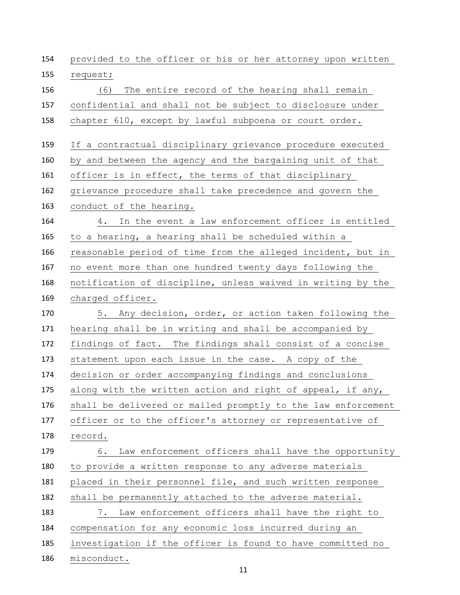provided to the officer or his or her attorney upon written request; (6) The entire record of the hearing shall remain confidential and shall not be subject to disclosure under chapter 610, except by lawful subpoena or court order. If a contractual disciplinary grievance procedure executed by and between the agency and the bargaining unit of that officer is in effect, the terms of that disciplinary grievance procedure shall take precedence and govern the conduct of the hearing. 4. In the event a law enforcement officer is entitled to a hearing, a hearing shall be scheduled within a reasonable period of time from the alleged incident, but in no event more than one hundred twenty days following the notification of discipline, unless waived in writing by the charged officer. 5. Any decision, order, or action taken following the hearing shall be in writing and shall be accompanied by findings of fact. The findings shall consist of a concise statement upon each issue in the case. A copy of the decision or order accompanying findings and conclusions along with the written action and right of appeal, if any, shall be delivered or mailed promptly to the law enforcement officer or to the officer's attorney or representative of record. 6. Law enforcement officers shall have the opportunity to provide a written response to any adverse materials placed in their personnel file, and such written response shall be permanently attached to the adverse material. 7. Law enforcement officers shall have the right to compensation for any economic loss incurred during an investigation if the officer is found to have committed no misconduct.